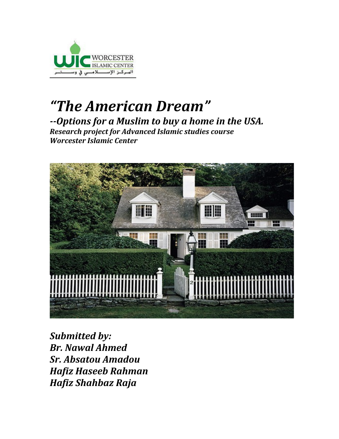

## *"The American Dream" --Options for a Muslim to buy a home in the USA. Research project for Advanced Islamic studies course Worcester Islamic Center*



**Submitted by:** *Br. Nawal Ahmed Sr. Absatou Amadou Hafiz Haseeb Rahman Hafiz Shahbaz Raja*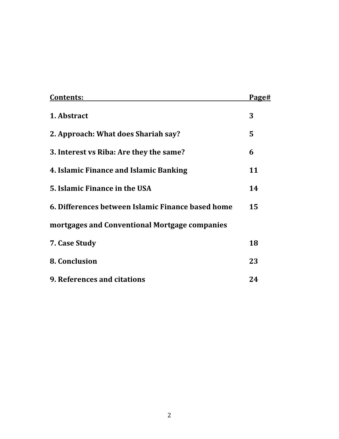| <b>Contents:</b>                                  | <b>Page#</b> |
|---------------------------------------------------|--------------|
| 1. Abstract                                       | 3            |
| 2. Approach: What does Shariah say?               | 5            |
| 3. Interest vs Riba: Are they the same?           | 6            |
| 4. Islamic Finance and Islamic Banking            | 11           |
| 5. Islamic Finance in the USA                     | 14           |
| 6. Differences between Islamic Finance based home | 15           |
| mortgages and Conventional Mortgage companies     |              |
| 7. Case Study                                     | 18           |
| 8. Conclusion                                     | 23           |
| 9. References and citations                       | 24           |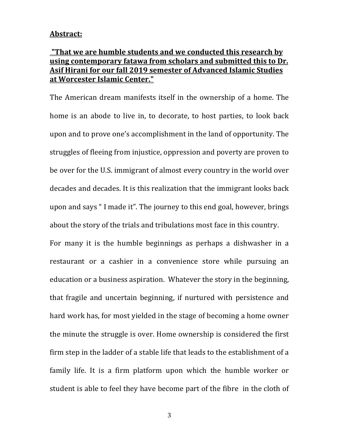#### **Abstract:**

## **"That we are humble students and we conducted this research by <u>using contemporary fatawa from scholars and submitted this to Dr.</u> Asif Hirani for our fall 2019 semester of Advanced Islamic Studies at Worcester Islamic Center."**

The American dream manifests itself in the ownership of a home. The home is an abode to live in, to decorate, to host parties, to look back upon and to prove one's accomplishment in the land of opportunity. The struggles of fleeing from injustice, oppression and poverty are proven to be over for the U.S. immigrant of almost every country in the world over decades and decades. It is this realization that the immigrant looks back upon and says "I made it". The journey to this end goal, however, brings about the story of the trials and tribulations most face in this country.

For many it is the humble beginnings as perhaps a dishwasher in a restaurant or a cashier in a convenience store while pursuing an education or a business aspiration. Whatever the story in the beginning, that fragile and uncertain beginning, if nurtured with persistence and hard work has, for most yielded in the stage of becoming a home owner the minute the struggle is over. Home ownership is considered the first firm step in the ladder of a stable life that leads to the establishment of a family life. It is a firm platform upon which the humble worker or student is able to feel they have become part of the fibre in the cloth of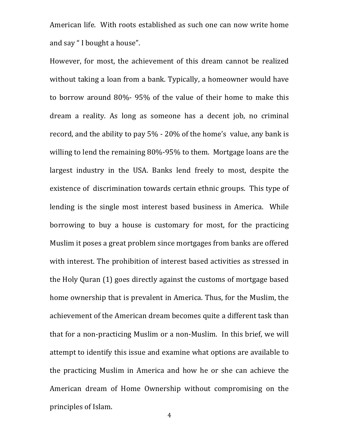American life. With roots established as such one can now write home and say "I bought a house".

However, for most, the achievement of this dream cannot be realized without taking a loan from a bank. Typically, a homeowner would have to borrow around  $80\%$ - 95% of the value of their home to make this dream a reality. As long as someone has a decent job, no criminal record, and the ability to pay  $5\%$  - 20% of the home's value, any bank is willing to lend the remaining  $80\% - 95\%$  to them. Mortgage loans are the largest industry in the USA. Banks lend freely to most, despite the existence of discrimination towards certain ethnic groups. This type of lending is the single most interest based business in America. While borrowing to buy a house is customary for most, for the practicing Muslim it poses a great problem since mortgages from banks are offered with interest. The prohibition of interest based activities as stressed in the Holy Quran (1) goes directly against the customs of mortgage based home ownership that is prevalent in America. Thus, for the Muslim, the achievement of the American dream becomes quite a different task than that for a non-practicing Muslim or a non-Muslim. In this brief, we will attempt to identify this issue and examine what options are available to the practicing Muslim in America and how he or she can achieve the American dream of Home Ownership without compromising on the principles of Islam.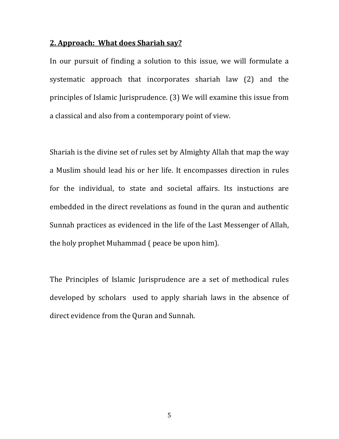#### **2. Approach: What does Shariah say?**

In our pursuit of finding a solution to this issue, we will formulate a systematic approach that incorporates shariah law (2) and the principles of Islamic Jurisprudence. (3) We will examine this issue from a classical and also from a contemporary point of view.

Shariah is the divine set of rules set by Almighty Allah that map the way a Muslim should lead his or her life. It encompasses direction in rules for the individual, to state and societal affairs. Its instuctions are embedded in the direct revelations as found in the quran and authentic Sunnah practices as evidenced in the life of the Last Messenger of Allah, the holy prophet Muhammad ( peace be upon him).

The Principles of Islamic Jurisprudence are a set of methodical rules developed by scholars used to apply shariah laws in the absence of direct evidence from the Quran and Sunnah.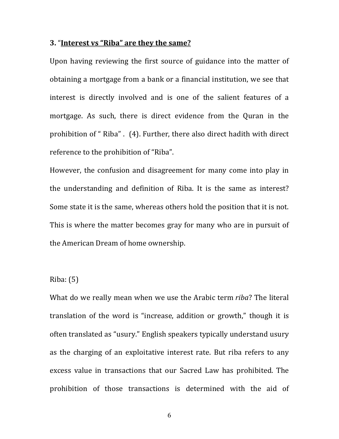#### **3.** "Interest vs "Riba" are they the same?

Upon having reviewing the first source of guidance into the matter of obtaining a mortgage from a bank or a financial institution, we see that interest is directly involved and is one of the salient features of a mortgage. As such, there is direct evidence from the Quran in the prohibition of "Riba". (4). Further, there also direct hadith with direct reference to the prohibition of "Riba".

However, the confusion and disagreement for many come into play in the understanding and definition of Riba. It is the same as interest? Some state it is the same, whereas others hold the position that it is not. This is where the matter becomes gray for many who are in pursuit of the American Dream of home ownership.

## Riba:  $(5)$

What do we really mean when we use the Arabic term *riba*? The literal translation of the word is "increase, addition or growth," though it is often translated as "usury." English speakers typically understand usury as the charging of an exploitative interest rate. But riba refers to any excess value in transactions that our Sacred Law has prohibited. The prohibition of those transactions is determined with the aid of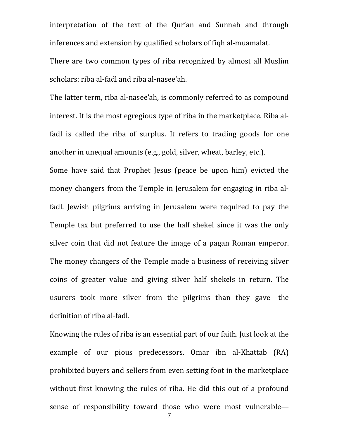interpretation of the text of the Qur'an and Sunnah and through inferences and extension by qualified scholars of figh al-muamalat.

There are two common types of riba recognized by almost all Muslim scholars: riba al-fadl and riba al-nasee'ah.

The latter term, riba al-nasee'ah, is commonly referred to as compound interest. It is the most egregious type of riba in the marketplace. Riba alfadl is called the riba of surplus. It refers to trading goods for one another in unequal amounts (e.g., gold, silver, wheat, barley, etc.).

Some have said that Prophet Jesus (peace be upon him) evicted the money changers from the Temple in Jerusalem for engaging in riba alfadl. Jewish pilgrims arriving in Jerusalem were required to pay the Temple tax but preferred to use the half shekel since it was the only silver coin that did not feature the image of a pagan Roman emperor. The money changers of the Temple made a business of receiving silver coins of greater value and giving silver half shekels in return. The usurers took more silver from the pilgrims than they gave—the definition of riba al-fadl.

Knowing the rules of riba is an essential part of our faith. Just look at the example of our pious predecessors. Omar ibn al-Khattab (RA) prohibited buyers and sellers from even setting foot in the marketplace without first knowing the rules of riba. He did this out of a profound sense of responsibility toward those who were most vulnerable-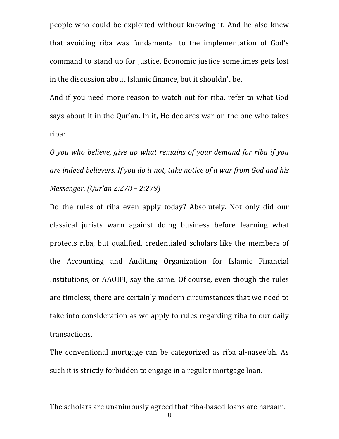people who could be exploited without knowing it. And he also knew that avoiding riba was fundamental to the implementation of God's command to stand up for justice. Economic justice sometimes gets lost in the discussion about Islamic finance, but it shouldn't be.

And if you need more reason to watch out for riba, refer to what God says about it in the Qur'an. In it, He declares war on the one who takes riba:

*O* you who believe, give up what remains of your demand for riba if you are indeed believers. If you do it not, take notice of a war from God and his *Messenger. (Qur'an 2:278 – 2:279)*

Do the rules of riba even apply today? Absolutely. Not only did our classical jurists warn against doing business before learning what protects riba, but qualified, credentialed scholars like the members of the Accounting and Auditing Organization for Islamic Financial Institutions, or AAOIFI, say the same. Of course, even though the rules are timeless, there are certainly modern circumstances that we need to take into consideration as we apply to rules regarding riba to our daily transactions.

The conventional mortgage can be categorized as riba al-nasee'ah. As such it is strictly forbidden to engage in a regular mortgage loan.

The scholars are unanimously agreed that riba-based loans are haraam.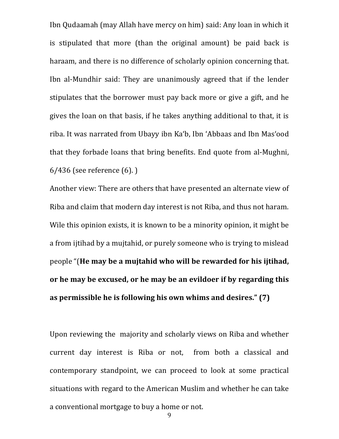Ibn Qudaamah (may Allah have mercy on him) said: Any loan in which it is stipulated that more (than the original amount) be paid back is haraam, and there is no difference of scholarly opinion concerning that. Ibn al-Mundhir said: They are unanimously agreed that if the lender stipulates that the borrower must pay back more or give a gift, and he gives the loan on that basis, if he takes anything additional to that, it is riba. It was narrated from Ubayy ibn Ka'b, Ibn 'Abbaas and Ibn Mas'ood that they forbade loans that bring benefits. End quote from al-Mughni,  $6/436$  (see reference  $(6)$ .)

Another view: There are others that have presented an alternate view of Riba and claim that modern day interest is not Riba, and thus not haram. Wile this opinion exists, it is known to be a minority opinion, it might be a from ijtihad by a mujtahid, or purely someone who is trying to mislead people "(He may be a mujtahid who will be rewarded for his ijtihad, or he may be excused, or he may be an evildoer if by regarding this as permissible he is following his own whims and desires." (7)

Upon reviewing the majority and scholarly views on Riba and whether current day interest is Riba or not, from both a classical and contemporary standpoint, we can proceed to look at some practical situations with regard to the American Muslim and whether he can take a conventional mortgage to buy a home or not.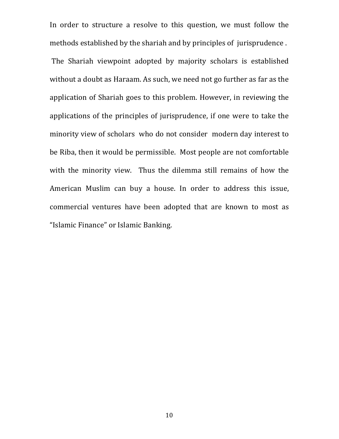In order to structure a resolve to this question, we must follow the methods established by the shariah and by principles of jurisprudence. The Shariah viewpoint adopted by majority scholars is established without a doubt as Haraam. As such, we need not go further as far as the application of Shariah goes to this problem. However, in reviewing the applications of the principles of jurisprudence, if one were to take the minority view of scholars who do not consider modern day interest to be Riba, then it would be permissible. Most people are not comfortable with the minority view. Thus the dilemma still remains of how the American Muslim can buy a house. In order to address this issue, commercial ventures have been adopted that are known to most as "Islamic Finance" or Islamic Banking.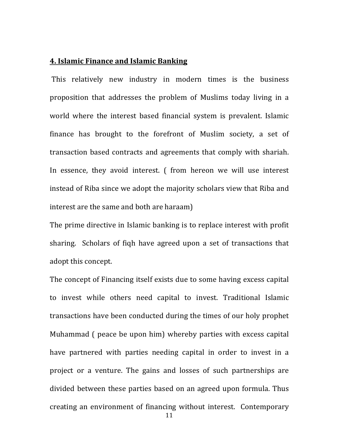#### **4. Islamic Finance and Islamic Banking**

This relatively new industry in modern times is the business proposition that addresses the problem of Muslims today living in a world where the interest based financial system is prevalent. Islamic finance has brought to the forefront of Muslim society, a set of transaction based contracts and agreements that comply with shariah. In essence, they avoid interest. ( from hereon we will use interest instead of Riba since we adopt the majority scholars view that Riba and interest are the same and both are haraam)

The prime directive in Islamic banking is to replace interest with profit sharing. Scholars of fiqh have agreed upon a set of transactions that adopt this concept.

The concept of Financing itself exists due to some having excess capital to invest while others need capital to invest. Traditional Islamic transactions have been conducted during the times of our holy prophet Muhammad ( peace be upon him) whereby parties with excess capital have partnered with parties needing capital in order to invest in a project or a venture. The gains and losses of such partnerships are divided between these parties based on an agreed upon formula. Thus creating an environment of financing without interest. Contemporary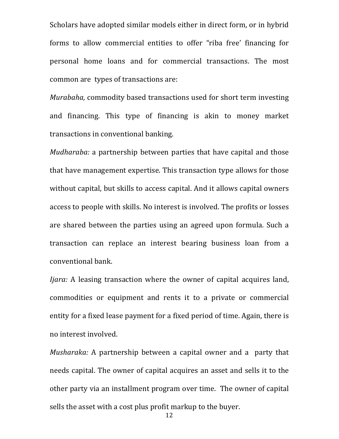Scholars have adopted similar models either in direct form, or in hybrid forms to allow commercial entities to offer "riba free' financing for personal home loans and for commercial transactions. The most common are types of transactions are:

*Murabaha,* commodity based transactions used for short term investing and financing. This type of financing is akin to money market transactions in conventional banking.

*Mudharaba:* a partnership between parties that have capital and those that have management expertise. This transaction type allows for those without capital, but skills to access capital. And it allows capital owners access to people with skills. No interest is involved. The profits or losses are shared between the parties using an agreed upon formula. Such a transaction can replace an interest bearing business loan from a conventional bank.

*Ijara:* A leasing transaction where the owner of capital acquires land, commodities or equipment and rents it to a private or commercial entity for a fixed lease payment for a fixed period of time. Again, there is no interest involved.

*Musharaka:* A partnership between a capital owner and a party that needs capital. The owner of capital acquires an asset and sells it to the other party via an installment program over time. The owner of capital sells the asset with a cost plus profit markup to the buyer.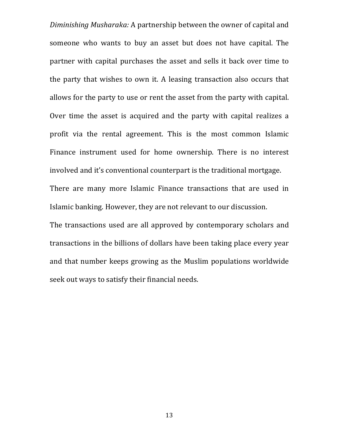*Diminishing Musharaka:* A partnership between the owner of capital and someone who wants to buy an asset but does not have capital. The partner with capital purchases the asset and sells it back over time to the party that wishes to own it. A leasing transaction also occurs that allows for the party to use or rent the asset from the party with capital. Over time the asset is acquired and the party with capital realizes a profit via the rental agreement. This is the most common Islamic Finance instrument used for home ownership. There is no interest involved and it's conventional counterpart is the traditional mortgage. There are many more Islamic Finance transactions that are used in

Islamic banking. However, they are not relevant to our discussion.

The transactions used are all approved by contemporary scholars and transactions in the billions of dollars have been taking place every year and that number keeps growing as the Muslim populations worldwide seek out ways to satisfy their financial needs.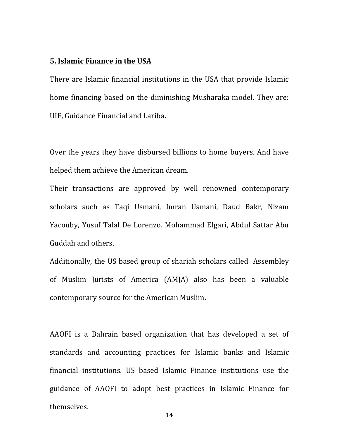#### **5. Islamic Finance in the USA**

There are Islamic financial institutions in the USA that provide Islamic home financing based on the diminishing Musharaka model. They are: UIF, Guidance Financial and Lariba.

Over the years they have disbursed billions to home buyers. And have helped them achieve the American dream.

Their transactions are approved by well renowned contemporary scholars such as Taqi Usmani, Imran Usmani, Daud Bakr, Nizam Yacouby, Yusuf Talal De Lorenzo. Mohammad Elgari, Abdul Sattar Abu Guddah and others.

Additionally, the US based group of shariah scholars called Assembley of Muslim Jurists of America (AMJA) also has been a valuable contemporary source for the American Muslim.

AAOFI is a Bahrain based organization that has developed a set of standards and accounting practices for Islamic banks and Islamic financial institutions. US based Islamic Finance institutions use the guidance of AAOFI to adopt best practices in Islamic Finance for themselves.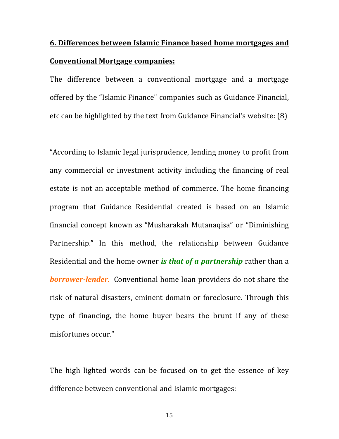# **6. Differences between Islamic Finance based home mortgages and Conventional Mortgage companies:**

The difference between a conventional mortgage and a mortgage offered by the "Islamic Finance" companies such as Guidance Financial, etc can be highlighted by the text from Guidance Financial's website:  $(8)$ 

"According to Islamic legal jurisprudence, lending money to profit from any commercial or investment activity including the financing of real estate is not an acceptable method of commerce. The home financing program that Guidance Residential created is based on an Islamic financial concept known as "Musharakah Mutanaqisa" or "Diminishing Partnership." In this method, the relationship between Guidance Residential and the home owner *is that of a partnership* rather than a **borrower-lender.** Conventional home loan providers do not share the risk of natural disasters, eminent domain or foreclosure. Through this type of financing, the home buyer bears the brunt if any of these misfortunes occur."

The high lighted words can be focused on to get the essence of key difference between conventional and Islamic mortgages: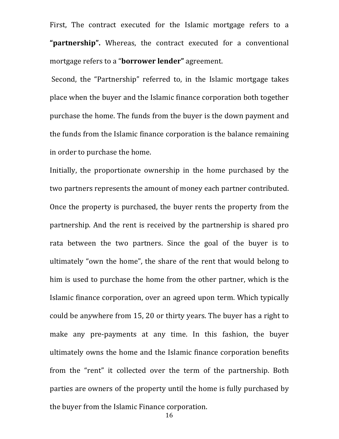First, The contract executed for the Islamic mortgage refers to a "**partnership**". Whereas, the contract executed for a conventional mortgage refers to a "**borrower lender**" agreement.

Second, the "Partnership" referred to, in the Islamic mortgage takes place when the buyer and the Islamic finance corporation both together purchase the home. The funds from the buyer is the down payment and the funds from the Islamic finance corporation is the balance remaining in order to purchase the home.

Initially, the proportionate ownership in the home purchased by the two partners represents the amount of money each partner contributed. Once the property is purchased, the buyer rents the property from the partnership. And the rent is received by the partnership is shared pro rata between the two partners. Since the goal of the buyer is to ultimately "own the home", the share of the rent that would belong to him is used to purchase the home from the other partner, which is the Islamic finance corporation, over an agreed upon term. Which typically could be anywhere from 15, 20 or thirty years. The buyer has a right to make any pre-payments at any time. In this fashion, the buyer ultimately owns the home and the Islamic finance corporation benefits from the "rent" it collected over the term of the partnership. Both parties are owners of the property until the home is fully purchased by the buyer from the Islamic Finance corporation.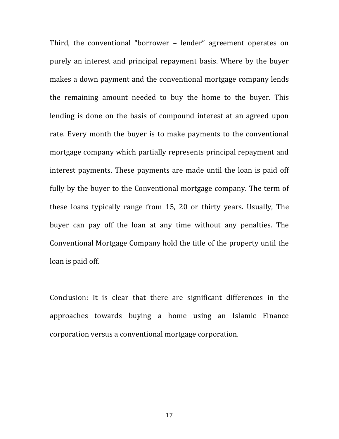Third, the conventional "borrower – lender" agreement operates on purely an interest and principal repayment basis. Where by the buyer makes a down payment and the conventional mortgage company lends the remaining amount needed to buy the home to the buyer. This lending is done on the basis of compound interest at an agreed upon rate. Every month the buyer is to make payments to the conventional mortgage company which partially represents principal repayment and interest payments. These payments are made until the loan is paid off fully by the buyer to the Conventional mortgage company. The term of these loans typically range from 15, 20 or thirty years. Usually, The buyer can pay off the loan at any time without any penalties. The Conventional Mortgage Company hold the title of the property until the loan is paid off.

Conclusion: It is clear that there are significant differences in the approaches towards buying a home using an Islamic Finance corporation versus a conventional mortgage corporation.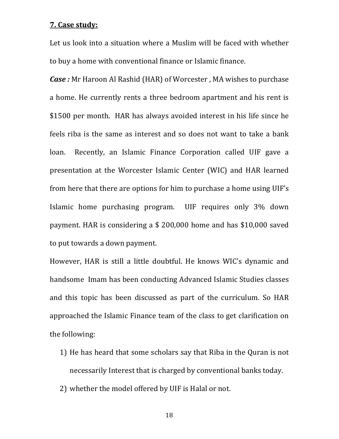### **7. Case study:**

Let us look into a situation where a Muslim will be faced with whether to buy a home with conventional finance or Islamic finance.

*Case*: Mr Haroon Al Rashid (HAR) of Worcester, MA wishes to purchase a home. He currently rents a three bedroom apartment and his rent is \$1500 per month. HAR has always avoided interest in his life since he feels riba is the same as interest and so does not want to take a bank loan. Recently, an Islamic Finance Corporation called UIF gave a presentation at the Worcester Islamic Center (WIC) and HAR learned from here that there are options for him to purchase a home using UIF's Islamic home purchasing program. UIF requires only 3% down payment. HAR is considering a  $$200,000$  home and has  $$10,000$  saved to put towards a down payment.

However, HAR is still a little doubtful. He knows WIC's dynamic and handsome Imam has been conducting Advanced Islamic Studies classes and this topic has been discussed as part of the curriculum. So HAR approached the Islamic Finance team of the class to get clarification on the following:

- 1) He has heard that some scholars say that Riba in the Ouran is not necessarily Interest that is charged by conventional banks today.
- 2) whether the model offered by UIF is Halal or not.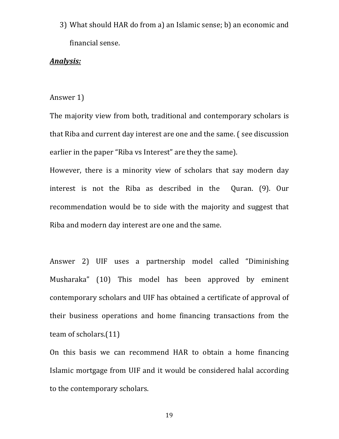3) What should HAR do from a) an Islamic sense; b) an economic and financial sense.

#### *Analysis:*

### Answer 1)

The majority view from both, traditional and contemporary scholars is that Riba and current day interest are one and the same. (see discussion earlier in the paper "Riba vs Interest" are they the same).

However, there is a minority view of scholars that say modern day interest is not the Riba as described in the  $Quran.$  (9). Our recommendation would be to side with the majority and suggest that Riba and modern day interest are one and the same.

Answer 2) UIF uses a partnership model called "Diminishing Musharaka" (10) This model has been approved by eminent contemporary scholars and UIF has obtained a certificate of approval of their business operations and home financing transactions from the team of scholars.(11)

On this basis we can recommend HAR to obtain a home financing Islamic mortgage from UIF and it would be considered halal according to the contemporary scholars.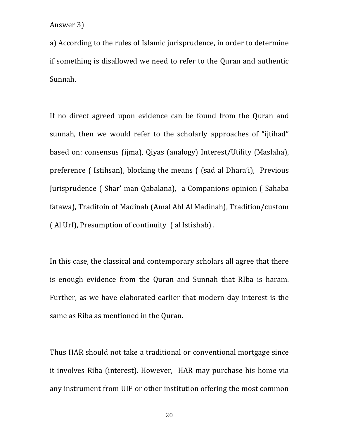Answer 3)

a) According to the rules of Islamic jurisprudence, in order to determine if something is disallowed we need to refer to the Ouran and authentic Sunnah. 

If no direct agreed upon evidence can be found from the Ouran and sunnah, then we would refer to the scholarly approaches of "ijtihad" based on: consensus (ijma), Qiyas (analogy) Interest/Utility (Maslaha), preference ( Istihsan), blocking the means ( (sad al Dhara'i), Previous Jurisprudence ( Shar' man Qabalana), a Companions opinion ( Sahaba fatawa), Traditoin of Madinah (Amal Ahl Al Madinah), Tradition/custom ( Al Urf), Presumption of continuity ( al Istishab).

In this case, the classical and contemporary scholars all agree that there is enough evidence from the Quran and Sunnah that RIba is haram. Further, as we have elaborated earlier that modern day interest is the same as Riba as mentioned in the Quran.

Thus HAR should not take a traditional or conventional mortgage since it involves Riba (interest). However, HAR may purchase his home via any instrument from UIF or other institution offering the most common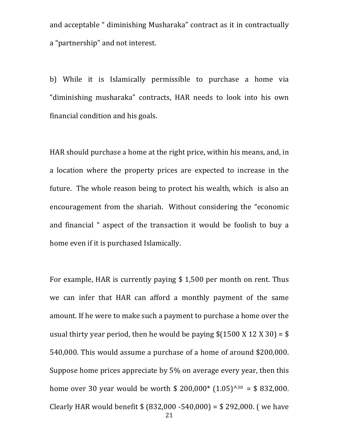and acceptable " diminishing Musharaka" contract as it in contractually a "partnership" and not interest.

b) While it is Islamically permissible to purchase a home via "diminishing musharaka" contracts, HAR needs to look into his own financial condition and his goals.

HAR should purchase a home at the right price, within his means, and, in a location where the property prices are expected to increase in the future. The whole reason being to protect his wealth, which is also an encouragement from the shariah. Without considering the "economic and financial " aspect of the transaction it would be foolish to buy a home even if it is purchased Islamically.

For example, HAR is currently paying  $$1,500$  per month on rent. Thus we can infer that HAR can afford a monthly payment of the same amount. If he were to make such a payment to purchase a home over the usual thirty year period, then he would be paying  $$(1500 \text{ X } 12 \text{ X } 30) = $$ 540,000. This would assume a purchase of a home of around \$200,000. Suppose home prices appreciate by  $5\%$  on average every year, then this home over 30 year would be worth  $$200,000^*$  (1.05)<sup> $\land$ 30</sup> = \$ 832,000. Clearly HAR would benefit  $$ (832,000 -540,000) = $ 292,000.$  (we have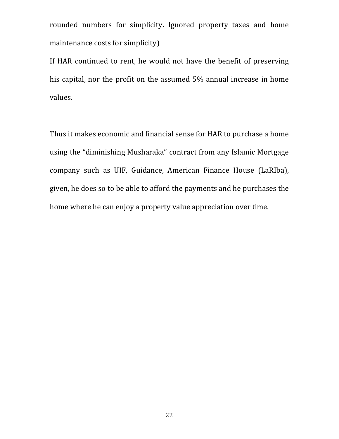rounded numbers for simplicity. Ignored property taxes and home maintenance costs for simplicity)

If HAR continued to rent, he would not have the benefit of preserving his capital, nor the profit on the assumed 5% annual increase in home values. 

Thus it makes economic and financial sense for HAR to purchase a home using the "diminishing Musharaka" contract from any Islamic Mortgage company such as UIF, Guidance, American Finance House (LaRIba), given, he does so to be able to afford the payments and he purchases the home where he can enjoy a property value appreciation over time.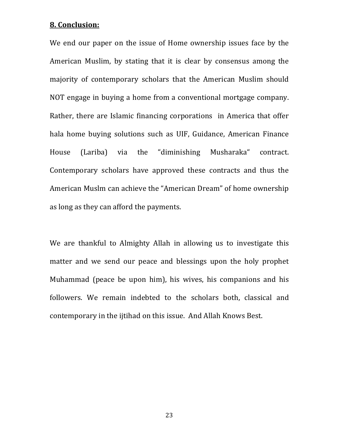## **8. Conclusion:**

We end our paper on the issue of Home ownership issues face by the American Muslim, by stating that it is clear by consensus among the majority of contemporary scholars that the American Muslim should NOT engage in buying a home from a conventional mortgage company. Rather, there are Islamic financing corporations in America that offer hala home buying solutions such as UIF, Guidance, American Finance House (Lariba) via the "diminishing Musharaka" contract. Contemporary scholars have approved these contracts and thus the American Muslm can achieve the "American Dream" of home ownership as long as they can afford the payments.

We are thankful to Almighty Allah in allowing us to investigate this matter and we send our peace and blessings upon the holy prophet Muhammad (peace be upon him), his wives, his companions and his followers. We remain indebted to the scholars both, classical and contemporary in the ijtihad on this issue. And Allah Knows Best.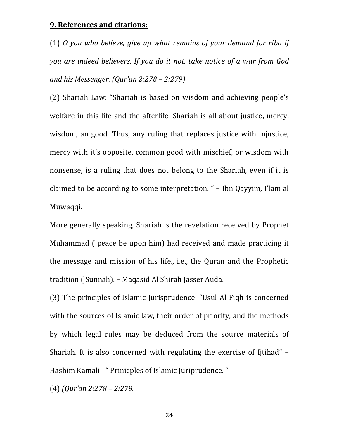## **9. References and citations:**

(1) O you who believe, give up what remains of your demand for riba if *you* are indeed believers. If you do it not, take notice of a war from God *and his Messenger. (Qur'an 2:278 – 2:279)*

(2) Shariah Law: "Shariah is based on wisdom and achieving people's welfare in this life and the afterlife. Shariah is all about justice, mercy, wisdom, an good. Thus, any ruling that replaces justice with injustice, mercy with it's opposite, common good with mischief, or wisdom with nonsense, is a ruling that does not belong to the Shariah, even if it is claimed to be according to some interpretation. " - Ibn Qayyim, I'lam al Muwaqqi. 

More generally speaking, Shariah is the revelation received by Prophet Muhammad ( peace be upon him) had received and made practicing it the message and mission of his life., i.e., the Quran and the Prophetic tradition (Sunnah). - Maqasid Al Shirah Jasser Auda.

(3) The principles of Islamic Jurisprudence: "Usul Al Fiqh is concerned with the sources of Islamic law, their order of priority, and the methods by which legal rules may be deduced from the source materials of Shariah. It is also concerned with regulating the exercise of Ijtihad"  $-$ Hashim Kamali –" Prinicples of Islamic Juriprudence. "

(4) *(Qur'an 2:278 – 2:279.*